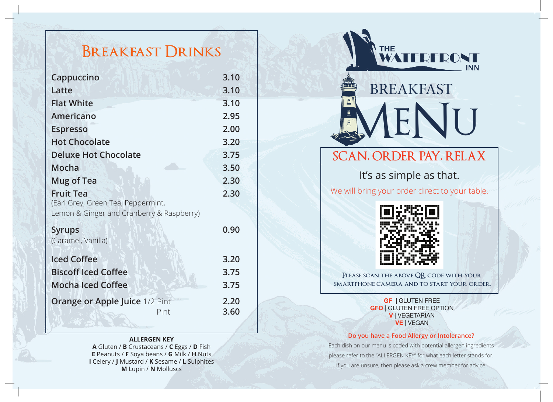# **Breakfast Drinks**

| Cappuccino                                                                                          | 3.10         |
|-----------------------------------------------------------------------------------------------------|--------------|
| Latte                                                                                               | 3.10         |
| <b>Flat White</b>                                                                                   | 3.10         |
| Americano                                                                                           | 2.95         |
| <b>Espresso</b>                                                                                     | 2.00         |
| <b>Hot Chocolate</b>                                                                                | 3.20         |
| <b>Deluxe Hot Chocolate</b>                                                                         | 3.75         |
| Mocha                                                                                               | 3.50         |
| <b>Mug of Tea</b>                                                                                   | 2.30         |
| <b>Fruit Tea</b><br>(Earl Grey, Green Tea, Peppermint,<br>Lemon & Ginger and Cranberry & Raspberry) | 2.30         |
| <b>Syrups</b><br>(Caramel, Vanilla)                                                                 | 0.90         |
| <b>Iced Coffee</b>                                                                                  | 3.20         |
| <b>Biscoff Iced Coffee</b>                                                                          | 3.75         |
| <b>Mocha Iced Coffee</b>                                                                            | 3.75         |
| <b>Orange or Apple Juice 1/2 Pint</b><br>Pint                                                       | 2.20<br>3.60 |

#### **ALLERGEN KEY**

**A** Gluten / **B** Crustaceans / **C** Eggs / **D** Fish **E** Peanuts / **F** Soya beans / **G** Milk / **H** Nuts **I** Celery / **J** Mustard / **K** Sesame / **L** Sulphites **M** Lupin / **N** Molluscs



## **SCAN, ORDER PAY, RELAX**

It's as simple as that.

We will bring your order direct to your table.



**Please scan the above QR code with your smartphone camera and to start your order.**

> **GF |** GLUTEN FREE **GFO** | GLUTEN FREE OPTION **V** | VEGETARIAN **VE** | VEGAN

#### **Do you have a Food Allergy or Intolerance?**

Each dish on our menu is coded with potential allergen ingredients please refer to the "ALLERGEN KEY" for what each letter stands for. If you are unsure, then please ask a crew member for advice.